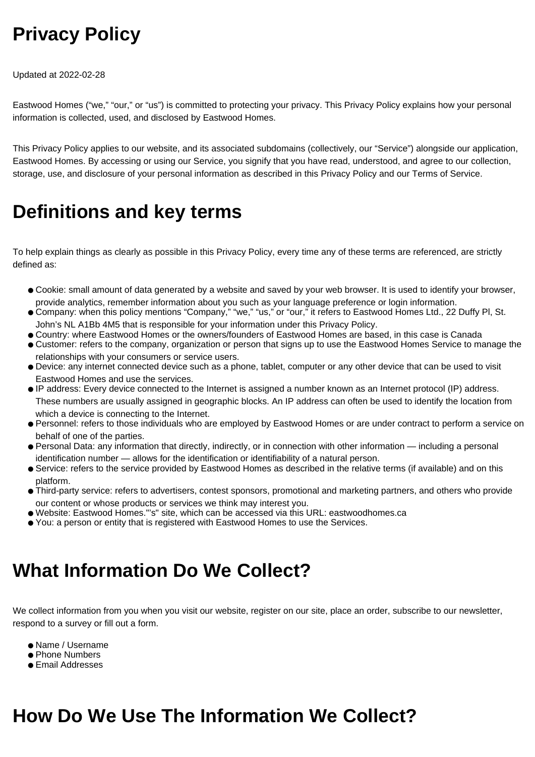## **Privacy Policy**

Updated at 2022-02-28

Eastwood Homes ("we," "our," or "us") is committed to protecting your privacy. This Privacy Policy explains how your personal information is collected, used, and disclosed by Eastwood Homes.

This Privacy Policy applies to our website, and its associated subdomains (collectively, our "Service") alongside our application, Eastwood Homes. By accessing or using our Service, you signify that you have read, understood, and agree to our collection, storage, use, and disclosure of your personal information as described in this Privacy Policy and our Terms of Service.

#### **Definitions and key terms**

To help explain things as clearly as possible in this Privacy Policy, every time any of these terms are referenced, are strictly defined as:

- Cookie: small amount of data generated by a website and saved by your web browser. It is used to identify your browser, provide analytics, remember information about you such as your language preference or login information.
- Company: when this policy mentions "Company," "we," "us," or "our," it refers to Eastwood Homes Ltd., 22 Duffy Pl, St. John's NL A1Bb 4M5 that is responsible for your information under this Privacy Policy.
- Country: where Eastwood Homes or the owners/founders of Eastwood Homes are based, in this case is Canada
- Customer: refers to the company, organization or person that signs up to use the Eastwood Homes Service to manage the relationships with your consumers or service users.
- Device: any internet connected device such as a phone, tablet, computer or any other device that can be used to visit Eastwood Homes and use the services.
- IP address: Every device connected to the Internet is assigned a number known as an Internet protocol (IP) address. These numbers are usually assigned in geographic blocks. An IP address can often be used to identify the location from which a device is connecting to the Internet.
- Personnel: refers to those individuals who are employed by Eastwood Homes or are under contract to perform a service on behalf of one of the parties.
- Personal Data: any information that directly, indirectly, or in connection with other information including a personal identification number — allows for the identification or identifiability of a natural person.
- Service: refers to the service provided by Eastwood Homes as described in the relative terms (if available) and on this platform.
- Third-party service: refers to advertisers, contest sponsors, promotional and marketing partners, and others who provide our content or whose products or services we think may interest you.
- Website: Eastwood Homes."'s" site, which can be accessed via this URL: eastwoodhomes.ca
- You: a person or entity that is registered with Eastwood Homes to use the Services.

#### **What Information Do We Collect?**

We collect information from you when you visit our website, register on our site, place an order, subscribe to our newsletter, respond to a survey or fill out a form.

- Name / Username
- Phone Numbers
- Email Addresses

### **How Do We Use The Information We Collect?**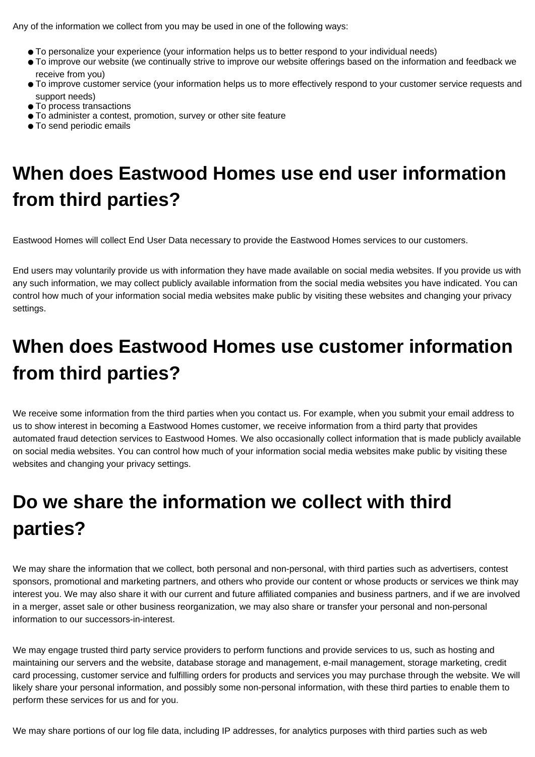Any of the information we collect from you may be used in one of the following ways:

- To personalize your experience (your information helps us to better respond to your individual needs)
- To improve our website (we continually strive to improve our website offerings based on the information and feedback we receive from you)
- To improve customer service (your information helps us to more effectively respond to your customer service requests and support needs)
- To process transactions
- To administer a contest, promotion, survey or other site feature
- To send periodic emails

# **When does Eastwood Homes use end user information from third parties?**

Eastwood Homes will collect End User Data necessary to provide the Eastwood Homes services to our customers.

End users may voluntarily provide us with information they have made available on social media websites. If you provide us with any such information, we may collect publicly available information from the social media websites you have indicated. You can control how much of your information social media websites make public by visiting these websites and changing your privacy settings.

# **When does Eastwood Homes use customer information from third parties?**

We receive some information from the third parties when you contact us. For example, when you submit your email address to us to show interest in becoming a Eastwood Homes customer, we receive information from a third party that provides automated fraud detection services to Eastwood Homes. We also occasionally collect information that is made publicly available on social media websites. You can control how much of your information social media websites make public by visiting these websites and changing your privacy settings.

# **Do we share the information we collect with third parties?**

We may share the information that we collect, both personal and non-personal, with third parties such as advertisers, contest sponsors, promotional and marketing partners, and others who provide our content or whose products or services we think may interest you. We may also share it with our current and future affiliated companies and business partners, and if we are involved in a merger, asset sale or other business reorganization, we may also share or transfer your personal and non-personal information to our successors-in-interest.

We may engage trusted third party service providers to perform functions and provide services to us, such as hosting and maintaining our servers and the website, database storage and management, e-mail management, storage marketing, credit card processing, customer service and fulfilling orders for products and services you may purchase through the website. We will likely share your personal information, and possibly some non-personal information, with these third parties to enable them to perform these services for us and for you.

We may share portions of our log file data, including IP addresses, for analytics purposes with third parties such as web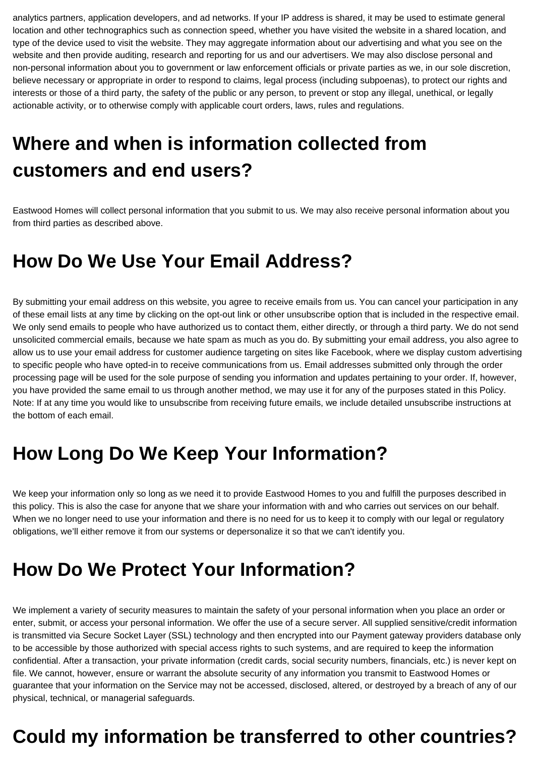analytics partners, application developers, and ad networks. If your IP address is shared, it may be used to estimate general location and other technographics such as connection speed, whether you have visited the website in a shared location, and type of the device used to visit the website. They may aggregate information about our advertising and what you see on the website and then provide auditing, research and reporting for us and our advertisers. We may also disclose personal and non-personal information about you to government or law enforcement officials or private parties as we, in our sole discretion, believe necessary or appropriate in order to respond to claims, legal process (including subpoenas), to protect our rights and interests or those of a third party, the safety of the public or any person, to prevent or stop any illegal, unethical, or legally actionable activity, or to otherwise comply with applicable court orders, laws, rules and regulations.

# **Where and when is information collected from customers and end users?**

Eastwood Homes will collect personal information that you submit to us. We may also receive personal information about you from third parties as described above.

#### **How Do We Use Your Email Address?**

By submitting your email address on this website, you agree to receive emails from us. You can cancel your participation in any of these email lists at any time by clicking on the opt-out link or other unsubscribe option that is included in the respective email. We only send emails to people who have authorized us to contact them, either directly, or through a third party. We do not send unsolicited commercial emails, because we hate spam as much as you do. By submitting your email address, you also agree to allow us to use your email address for customer audience targeting on sites like Facebook, where we display custom advertising to specific people who have opted-in to receive communications from us. Email addresses submitted only through the order processing page will be used for the sole purpose of sending you information and updates pertaining to your order. If, however, you have provided the same email to us through another method, we may use it for any of the purposes stated in this Policy. Note: If at any time you would like to unsubscribe from receiving future emails, we include detailed unsubscribe instructions at the bottom of each email.

#### **How Long Do We Keep Your Information?**

We keep your information only so long as we need it to provide Eastwood Homes to you and fulfill the purposes described in this policy. This is also the case for anyone that we share your information with and who carries out services on our behalf. When we no longer need to use your information and there is no need for us to keep it to comply with our legal or regulatory obligations, we'll either remove it from our systems or depersonalize it so that we can't identify you.

### **How Do We Protect Your Information?**

We implement a variety of security measures to maintain the safety of your personal information when you place an order or enter, submit, or access your personal information. We offer the use of a secure server. All supplied sensitive/credit information is transmitted via Secure Socket Layer (SSL) technology and then encrypted into our Payment gateway providers database only to be accessible by those authorized with special access rights to such systems, and are required to keep the information confidential. After a transaction, your private information (credit cards, social security numbers, financials, etc.) is never kept on file. We cannot, however, ensure or warrant the absolute security of any information you transmit to Eastwood Homes or guarantee that your information on the Service may not be accessed, disclosed, altered, or destroyed by a breach of any of our physical, technical, or managerial safeguards.

#### **Could my information be transferred to other countries?**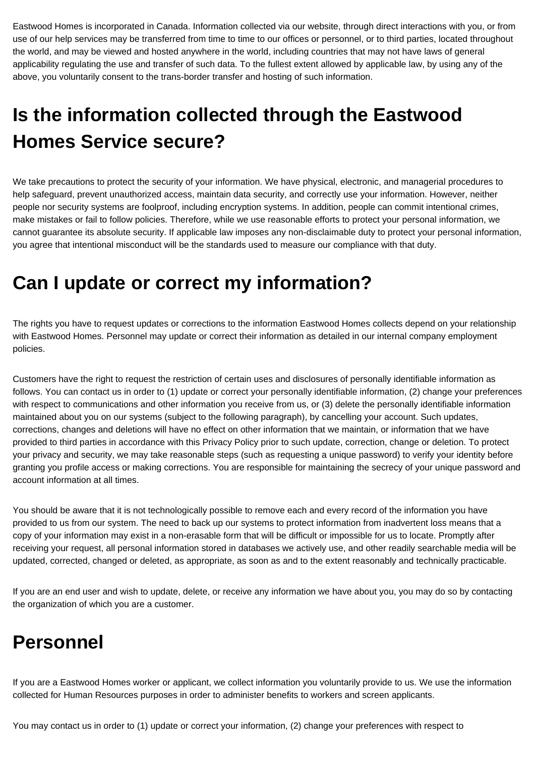Eastwood Homes is incorporated in Canada. Information collected via our website, through direct interactions with you, or from use of our help services may be transferred from time to time to our offices or personnel, or to third parties, located throughout the world, and may be viewed and hosted anywhere in the world, including countries that may not have laws of general applicability regulating the use and transfer of such data. To the fullest extent allowed by applicable law, by using any of the above, you voluntarily consent to the trans-border transfer and hosting of such information.

# **Is the information collected through the Eastwood Homes Service secure?**

We take precautions to protect the security of your information. We have physical, electronic, and managerial procedures to help safeguard, prevent unauthorized access, maintain data security, and correctly use your information. However, neither people nor security systems are foolproof, including encryption systems. In addition, people can commit intentional crimes, make mistakes or fail to follow policies. Therefore, while we use reasonable efforts to protect your personal information, we cannot guarantee its absolute security. If applicable law imposes any non-disclaimable duty to protect your personal information, you agree that intentional misconduct will be the standards used to measure our compliance with that duty.

#### **Can I update or correct my information?**

The rights you have to request updates or corrections to the information Eastwood Homes collects depend on your relationship with Eastwood Homes. Personnel may update or correct their information as detailed in our internal company employment policies.

Customers have the right to request the restriction of certain uses and disclosures of personally identifiable information as follows. You can contact us in order to (1) update or correct your personally identifiable information, (2) change your preferences with respect to communications and other information you receive from us, or (3) delete the personally identifiable information maintained about you on our systems (subject to the following paragraph), by cancelling your account. Such updates, corrections, changes and deletions will have no effect on other information that we maintain, or information that we have provided to third parties in accordance with this Privacy Policy prior to such update, correction, change or deletion. To protect your privacy and security, we may take reasonable steps (such as requesting a unique password) to verify your identity before granting you profile access or making corrections. You are responsible for maintaining the secrecy of your unique password and account information at all times.

You should be aware that it is not technologically possible to remove each and every record of the information you have provided to us from our system. The need to back up our systems to protect information from inadvertent loss means that a copy of your information may exist in a non-erasable form that will be difficult or impossible for us to locate. Promptly after receiving your request, all personal information stored in databases we actively use, and other readily searchable media will be updated, corrected, changed or deleted, as appropriate, as soon as and to the extent reasonably and technically practicable.

If you are an end user and wish to update, delete, or receive any information we have about you, you may do so by contacting the organization of which you are a customer.

### **Personnel**

If you are a Eastwood Homes worker or applicant, we collect information you voluntarily provide to us. We use the information collected for Human Resources purposes in order to administer benefits to workers and screen applicants.

You may contact us in order to (1) update or correct your information, (2) change your preferences with respect to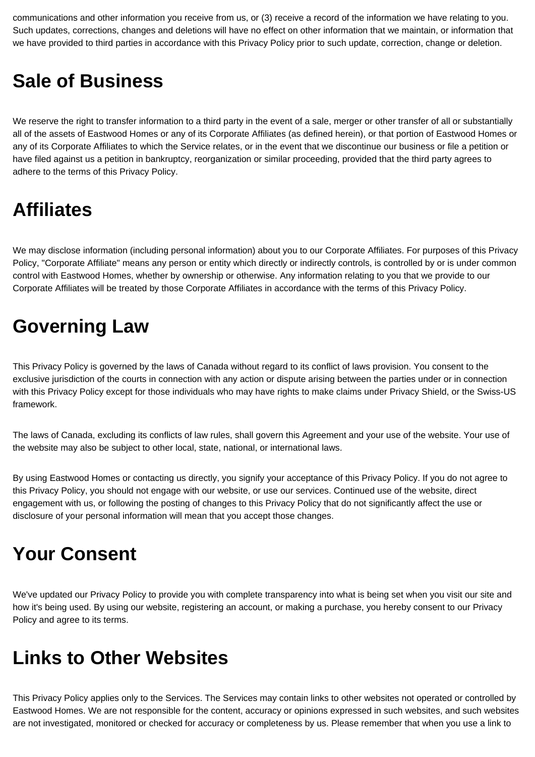communications and other information you receive from us, or (3) receive a record of the information we have relating to you. Such updates, corrections, changes and deletions will have no effect on other information that we maintain, or information that we have provided to third parties in accordance with this Privacy Policy prior to such update, correction, change or deletion.

#### **Sale of Business**

We reserve the right to transfer information to a third party in the event of a sale, merger or other transfer of all or substantially all of the assets of Eastwood Homes or any of its Corporate Affiliates (as defined herein), or that portion of Eastwood Homes or any of its Corporate Affiliates to which the Service relates, or in the event that we discontinue our business or file a petition or have filed against us a petition in bankruptcy, reorganization or similar proceeding, provided that the third party agrees to adhere to the terms of this Privacy Policy.

#### **Affiliates**

We may disclose information (including personal information) about you to our Corporate Affiliates. For purposes of this Privacy Policy, "Corporate Affiliate" means any person or entity which directly or indirectly controls, is controlled by or is under common control with Eastwood Homes, whether by ownership or otherwise. Any information relating to you that we provide to our Corporate Affiliates will be treated by those Corporate Affiliates in accordance with the terms of this Privacy Policy.

#### **Governing Law**

This Privacy Policy is governed by the laws of Canada without regard to its conflict of laws provision. You consent to the exclusive jurisdiction of the courts in connection with any action or dispute arising between the parties under or in connection with this Privacy Policy except for those individuals who may have rights to make claims under Privacy Shield, or the Swiss-US framework.

The laws of Canada, excluding its conflicts of law rules, shall govern this Agreement and your use of the website. Your use of the website may also be subject to other local, state, national, or international laws.

By using Eastwood Homes or contacting us directly, you signify your acceptance of this Privacy Policy. If you do not agree to this Privacy Policy, you should not engage with our website, or use our services. Continued use of the website, direct engagement with us, or following the posting of changes to this Privacy Policy that do not significantly affect the use or disclosure of your personal information will mean that you accept those changes.

## **Your Consent**

We've updated our Privacy Policy to provide you with complete transparency into what is being set when you visit our site and how it's being used. By using our website, registering an account, or making a purchase, you hereby consent to our Privacy Policy and agree to its terms.

#### **Links to Other Websites**

This Privacy Policy applies only to the Services. The Services may contain links to other websites not operated or controlled by Eastwood Homes. We are not responsible for the content, accuracy or opinions expressed in such websites, and such websites are not investigated, monitored or checked for accuracy or completeness by us. Please remember that when you use a link to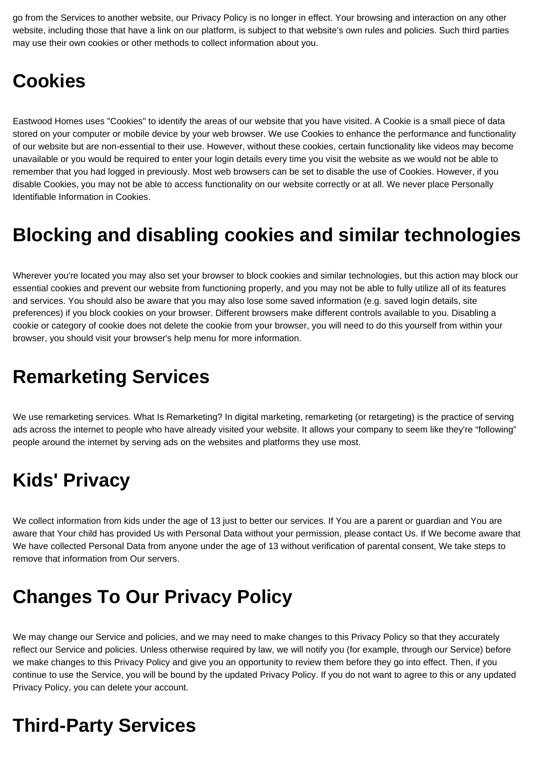go from the Services to another website, our Privacy Policy is no longer in effect. Your browsing and interaction on any other website, including those that have a link on our platform, is subject to that website's own rules and policies. Such third parties may use their own cookies or other methods to collect information about you.

#### **Cookies**

Eastwood Homes uses "Cookies" to identify the areas of our website that you have visited. A Cookie is a small piece of data stored on your computer or mobile device by your web browser. We use Cookies to enhance the performance and functionality of our website but are non-essential to their use. However, without these cookies, certain functionality like videos may become unavailable or you would be required to enter your login details every time you visit the website as we would not be able to remember that you had logged in previously. Most web browsers can be set to disable the use of Cookies. However, if you disable Cookies, you may not be able to access functionality on our website correctly or at all. We never place Personally Identifiable Information in Cookies.

### **Blocking and disabling cookies and similar technologies**

Wherever you're located you may also set your browser to block cookies and similar technologies, but this action may block our essential cookies and prevent our website from functioning properly, and you may not be able to fully utilize all of its features and services. You should also be aware that you may also lose some saved information (e.g. saved login details, site preferences) if you block cookies on your browser. Different browsers make different controls available to you. Disabling a cookie or category of cookie does not delete the cookie from your browser, you will need to do this yourself from within your browser, you should visit your browser's help menu for more information.

### **Remarketing Services**

We use remarketing services. What Is Remarketing? In digital marketing, remarketing (or retargeting) is the practice of serving ads across the internet to people who have already visited your website. It allows your company to seem like they're "following" people around the internet by serving ads on the websites and platforms they use most.

## **Kids' Privacy**

We collect information from kids under the age of 13 just to better our services. If You are a parent or guardian and You are aware that Your child has provided Us with Personal Data without your permission, please contact Us. If We become aware that We have collected Personal Data from anyone under the age of 13 without verification of parental consent, We take steps to remove that information from Our servers.

### **Changes To Our Privacy Policy**

We may change our Service and policies, and we may need to make changes to this Privacy Policy so that they accurately reflect our Service and policies. Unless otherwise required by law, we will notify you (for example, through our Service) before we make changes to this Privacy Policy and give you an opportunity to review them before they go into effect. Then, if you continue to use the Service, you will be bound by the updated Privacy Policy. If you do not want to agree to this or any updated Privacy Policy, you can delete your account.

## **Third-Party Services**